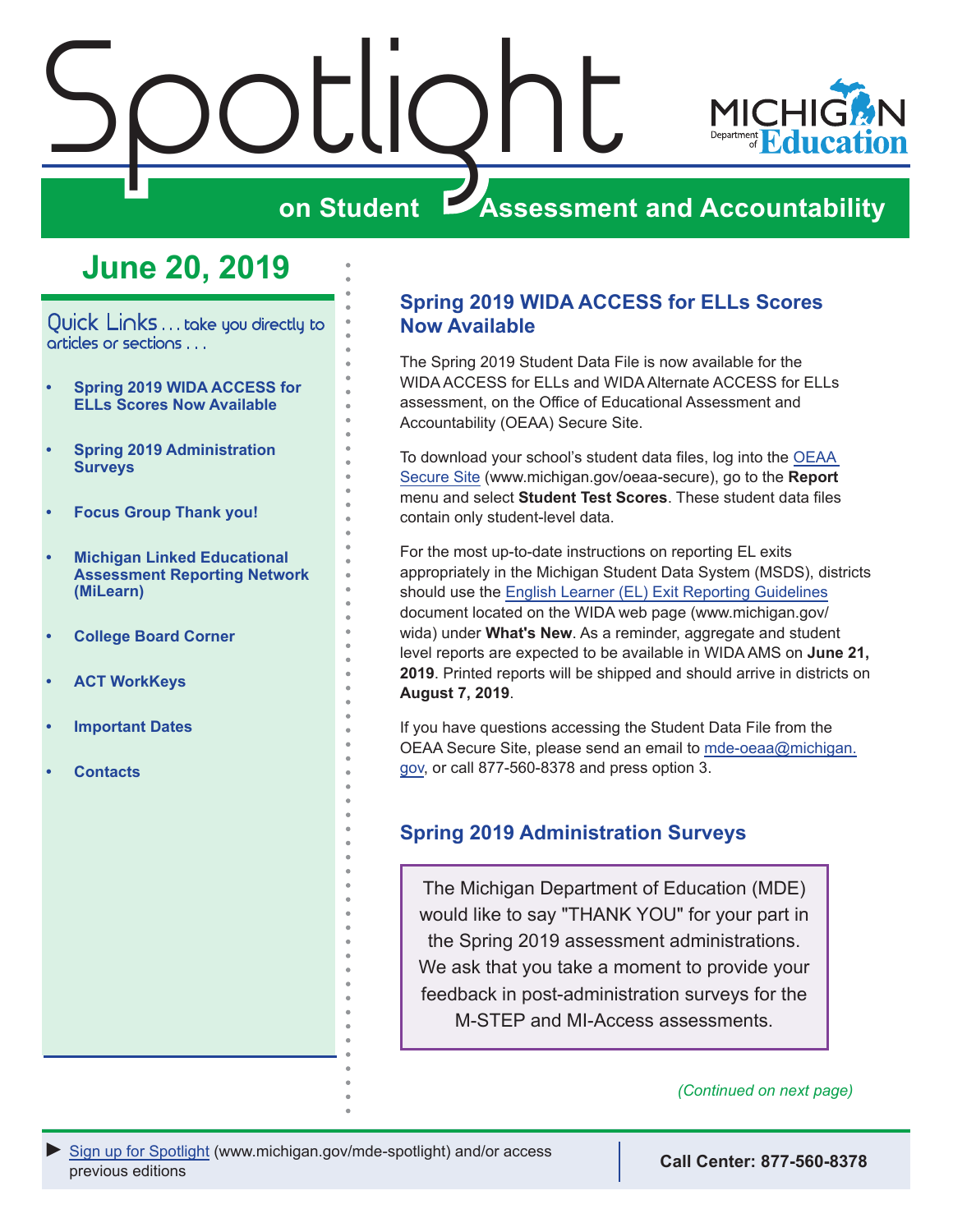<span id="page-0-0"></span>



## **ZASSESSMENT AND ACCOUNTABILITY**

## **June 20, 2019**

Quick Links . . . take you directly to articles or sections . . .

- **• Spring 2019 WIDA ACCESS for ELLs Scores Now Available**
- **• Spring 2019 Administration Surveys**
- **• [Focus Group Thank you!](#page-1-0)**
- **• [Michigan Linked Educational](#page-1-0)  [Assessment Reporting Network](#page-1-0)  [\(MiLearn\)](#page-1-0)**
- **• [College Board Corner](#page-2-0)**
- **• [ACT WorkKeys](#page-4-0)**
- **• [Important Dates](#page-6-0)**
- **• [Contacts](#page-7-0)**

## **Spring 2019 WIDA ACCESS for ELLs Scores Now Available**

The Spring 2019 Student Data File is now available for the WIDA ACCESS for ELLs and WIDA Alternate ACCESS for ELLs assessment, on the Office of Educational Assessment and Accountability (OEAA) Secure Site.

To download your school's student data files, log into the [OEAA](http://www.michigan.gov/oeaa-secure)  [Secure Site](http://www.michigan.gov/oeaa-secure) (www.michigan.gov/oeaa-secure), go to the **Report** menu and select **Student Test Scores**. These student data files contain only student-level data.

For the most up-to-date instructions on reporting EL exits appropriately in the Michigan Student Data System (MSDS), districts should use the [English Learner \(EL\) Exit Reporting Guidelines](https://www.michigan.gov/documents/mde/18-19_EL_Exit_Reporting_Guidelines_657839_7.pdf) document located on the WIDA web page (www.michigan.gov/ wida) under **What's New**. As a reminder, aggregate and student level reports are expected to be available in WIDA AMS on **June 21, 2019**. Printed reports will be shipped and should arrive in districts on **August 7, 2019**.

If you have questions accessing the Student Data File from the OEAA Secure Site, please send an email to [mde-oeaa@michigan.](mailto:mde-oeaa%40michigan.gov?subject=) [gov](mailto:mde-oeaa%40michigan.gov?subject=), or call 877-560-8378 and press option 3.

## **Spring 2019 Administration Surveys**

The Michigan Department of Education (MDE) would like to say "THANK YOU" for your part in the Spring 2019 assessment administrations. We ask that you take a moment to provide your feedback in post-administration surveys for the M-STEP and MI-Access assessments.

*(Continued on next page)*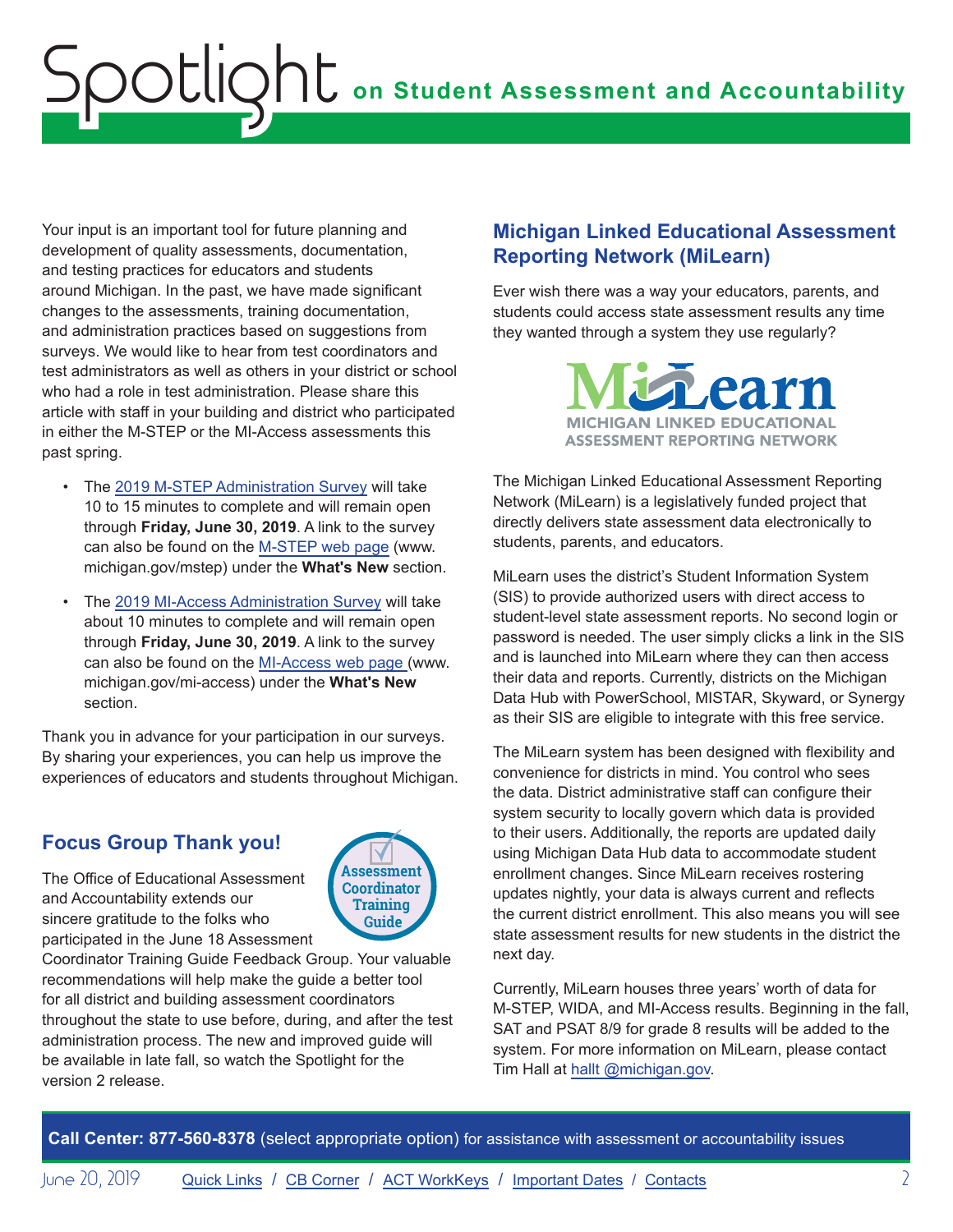<span id="page-1-0"></span>Your input is an important tool for future planning and development of quality assessments, documentation, and testing practices for educators and students around Michigan. In the past, we have made significant changes to the assessments, training documentation, and administration practices based on suggestions from surveys. We would like to hear from test coordinators and test administrators as well as others in your district or school who had a role in test administration. Please share this article with staff in your building and district who participated in either the M-STEP or the MI-Access assessments this past spring.

- The [2019 M-STEP Administration Survey](https://www.surveymonkey.com/r/Spring2019MSTEPAdministrationSurvey) will take 10 to 15 minutes to complete and will remain open through **Friday, June 30, 2019**. A link to the survey can also be found on the [M-STEP web page](www.michigan.gov/mstep) (www. michigan.gov/mstep) under the **What's New** section.
- The [2019 MI-Access Administration Survey](https://www.surveymonkey.com/r/Spring2019MIACCESSAdministrationSurvey) will take about 10 minutes to complete and will remain open through **Friday, June 30, 2019**. A link to the survey can also be found on the [MI-Access web page](http://www.michigan.gov/mi-access) (www. michigan.gov/mi-access) under the **What's New** section.

Thank you in advance for your participation in our surveys. By sharing your experiences, you can help us improve the experiences of educators and students throughout Michigan.

## **Focus Group Thank you!**

The Office of Educational Assessment and Accountability extends our sincere gratitude to the folks who participated in the June 18 Assessment



Coordinator Training Guide Feedback Group. Your valuable recommendations will help make the guide a better tool for all district and building assessment coordinators throughout the state to use before, during, and after the test administration process. The new and improved guide will be available in late fall, so watch the Spotlight for the version 2 release.

## **Michigan Linked Educational Assessment Reporting Network (MiLearn)**

Ever wish there was a way your educators, parents, and students could access state assessment results any time they wanted through a system they use regularly?



The Michigan Linked Educational Assessment Reporting Network (MiLearn) is a legislatively funded project that directly delivers state assessment data electronically to students, parents, and educators.

MiLearn uses the district's Student Information System (SIS) to provide authorized users with direct access to student-level state assessment reports. No second login or password is needed. The user simply clicks a link in the SIS and is launched into MiLearn where they can then access their data and reports. Currently, districts on the Michigan Data Hub with PowerSchool, MISTAR, Skyward, or Synergy as their SIS are eligible to integrate with this free service.

The MiLearn system has been designed with flexibility and convenience for districts in mind. You control who sees the data. District administrative staff can configure their system security to locally govern which data is provided to their users. Additionally, the reports are updated daily using Michigan Data Hub data to accommodate student enrollment changes. Since MiLearn receives rostering updates nightly, your data is always current and reflects the current district enrollment. This also means you will see state assessment results for new students in the district the next day.

Currently, MiLearn houses three years' worth of data for M-STEP, WIDA, and MI-Access results. Beginning in the fall, SAT and PSAT 8/9 for grade 8 results will be added to the system. For more information on MiLearn, please contact Tim Hall at [hallt @michigan.gov](mailto:hallt%20%40michigan.gov?subject=).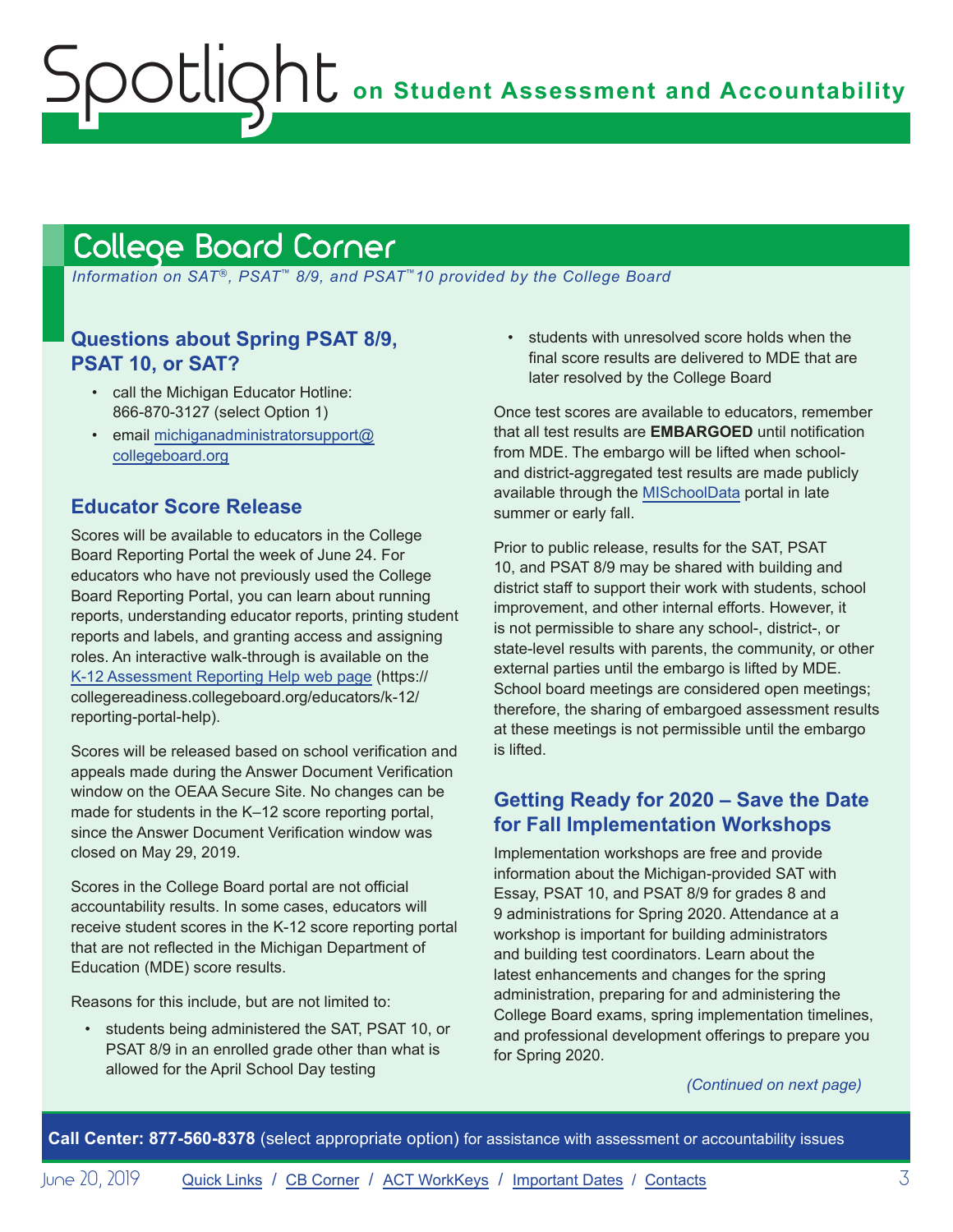## <span id="page-2-1"></span><span id="page-2-0"></span>College Board Corner

 *Information on SAT*®*, PSAT*™ *8/9, and PSAT*™*10 provided by the College Board*

## **Questions about Spring PSAT 8/9, PSAT 10, or SAT?**

- call the Michigan Educator Hotline: 866-870-3127 (select Option 1)
- email [michiganadministratorsupport@](mailto:michiganadministratorsupport%40collegeboard.org?subject=) [collegeboard.org](mailto:michiganadministratorsupport%40collegeboard.org?subject=)

## **Educator Score Release**

Scores will be available to educators in the College Board Reporting Portal the week of June 24. For educators who have not previously used the College Board Reporting Portal, you can learn about running reports, understanding educator reports, printing student reports and labels, and granting access and assigning roles. An interactive walk-through is available on the [K-12 Assessment Reporting Help web page](https://collegereadiness.collegeboard.org/educators/k-12/reporting-portal-help) (https:// collegereadiness.collegeboard.org/educators/k-12/ reporting-portal-help).

Scores will be released based on school verification and appeals made during the Answer Document Verification window on the OEAA Secure Site. No changes can be made for students in the K–12 score reporting portal, since the Answer Document Verification window was closed on May 29, 2019.

Scores in the College Board portal are not official accountability results. In some cases, educators will receive student scores in the K-12 score reporting portal that are not reflected in the Michigan Department of Education (MDE) score results.

Reasons for this include, but are not limited to:

• students being administered the SAT, PSAT 10, or PSAT 8/9 in an enrolled grade other than what is allowed for the April School Day testing

• students with unresolved score holds when the final score results are delivered to MDE that are later resolved by the College Board

Once test scores are available to educators, remember that all test results are **EMBARGOED** until notification from MDE. The embargo will be lifted when schooland district-aggregated test results are made publicly available through the [MISchoolData](http://www.mischooldata.org) portal in late summer or early fall.

Prior to public release, results for the SAT, PSAT 10, and PSAT 8/9 may be shared with building and district staff to support their work with students, school improvement, and other internal efforts. However, it is not permissible to share any school-, district-, or state-level results with parents, the community, or other external parties until the embargo is lifted by MDE. School board meetings are considered open meetings; therefore, the sharing of embargoed assessment results at these meetings is not permissible until the embargo is lifted.

## **Getting Ready for 2020 – Save the Date for Fall Implementation Workshops**

Implementation workshops are free and provide information about the Michigan-provided SAT with Essay, PSAT 10, and PSAT 8/9 for grades 8 and 9 administrations for Spring 2020. Attendance at a workshop is important for building administrators and building test coordinators. Learn about the latest enhancements and changes for the spring administration, preparing for and administering the College Board exams, spring implementation timelines, and professional development offerings to prepare you for Spring 2020.

*(Continued on next page)*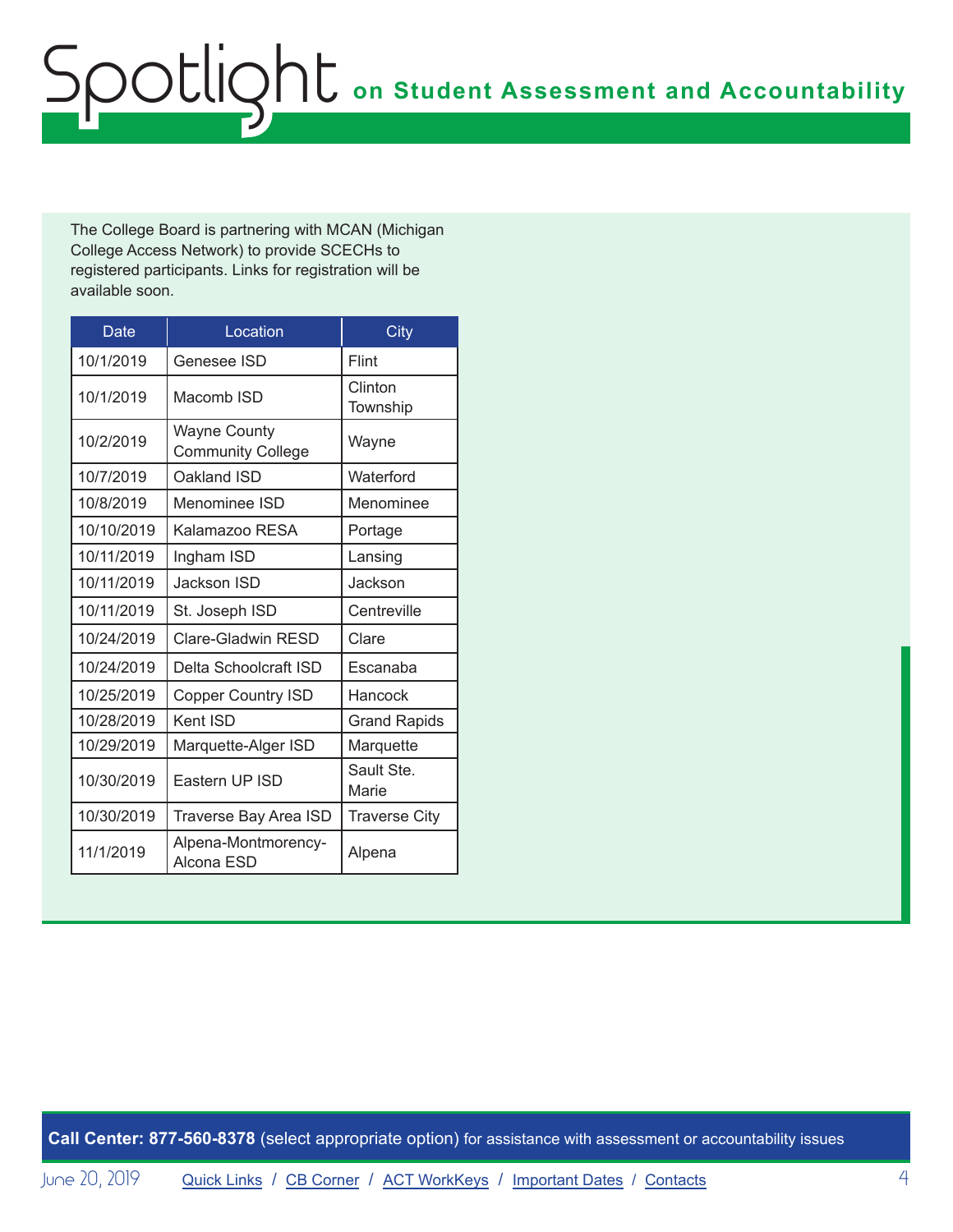# **on Student Assessment and Accountability** Spotlight

The College Board is partnering with MCAN (Michigan College Access Network) to provide SCECHs to registered participants. Links for registration will be available soon.

| Date       | Location                                        | City                 |
|------------|-------------------------------------------------|----------------------|
| 10/1/2019  | Genesee ISD                                     | Flint                |
| 10/1/2019  | Macomb ISD                                      | Clinton<br>Township  |
| 10/2/2019  | <b>Wayne County</b><br><b>Community College</b> | Wayne                |
| 10/7/2019  | Oakland ISD                                     | Waterford            |
| 10/8/2019  | Menominee ISD                                   | Menominee            |
| 10/10/2019 | Kalamazoo RESA                                  | Portage              |
| 10/11/2019 | Ingham ISD                                      | Lansing              |
| 10/11/2019 | Jackson ISD                                     | Jackson              |
| 10/11/2019 | St. Joseph ISD                                  | Centreville          |
| 10/24/2019 | Clare-Gladwin RESD                              | Clare                |
| 10/24/2019 | Delta Schoolcraft ISD                           | Escanaba             |
| 10/25/2019 | <b>Copper Country ISD</b>                       | Hancock              |
| 10/28/2019 | Kent ISD                                        | <b>Grand Rapids</b>  |
| 10/29/2019 | Marquette-Alger ISD                             | Marquette            |
| 10/30/2019 | Eastern UP ISD                                  | Sault Ste.<br>Marie  |
| 10/30/2019 | <b>Traverse Bay Area ISD</b>                    | <b>Traverse City</b> |
| 11/1/2019  | Alpena-Montmorency-<br>Alcona ESD               | Alpena               |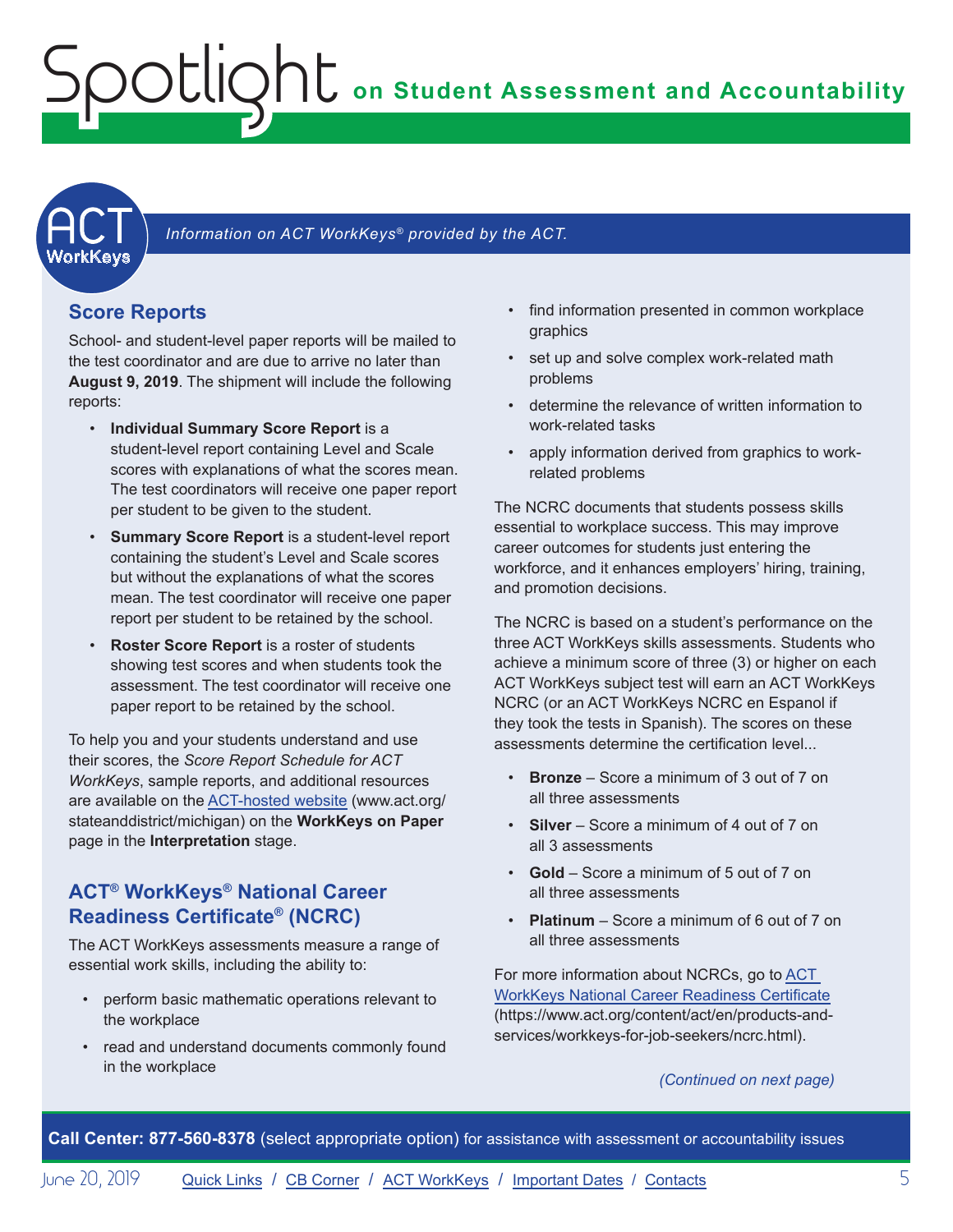**on Student Assessment and Accountability**

**ACT** 

#### Information on ACT WorkKeys<sup>®</sup> provided by the ACT.

### **Score Reports**

<span id="page-4-0"></span>Spotlight

School- and student-level paper reports will be mailed to the test coordinator and are due to arrive no later than **August 9, 2019**. The shipment will include the following reports:

- **Individual Summary Score Report** is a student-level report containing Level and Scale scores with explanations of what the scores mean. The test coordinators will receive one paper report per student to be given to the student.
- **Summary Score Report** is a student-level report containing the student's Level and Scale scores but without the explanations of what the scores mean. The test coordinator will receive one paper report per student to be retained by the school.
- **Roster Score Report** is a roster of students showing test scores and when students took the assessment. The test coordinator will receive one paper report to be retained by the school.

To help you and your students understand and use their scores, the *Score Report Schedule for ACT WorkKeys*, sample reports, and additional resources are available on the [ACT-hosted website](https://www.act.org/stateanddistrict/michigan) (www.act.org/ stateanddistrict/michigan) on the **WorkKeys on Paper**  page in the **Interpretation** stage.

### **ACT® WorkKeys® National Career Readiness Certificate® (NCRC)**

The ACT WorkKeys assessments measure a range of essential work skills, including the ability to:

- perform basic mathematic operations relevant to the workplace
- read and understand documents commonly found in the workplace
- find information presented in common workplace graphics
- set up and solve complex work-related math problems
- determine the relevance of written information to work-related tasks
- apply information derived from graphics to workrelated problems

The NCRC documents that students possess skills essential to workplace success. This may improve career outcomes for students just entering the workforce, and it enhances employers' hiring, training, and promotion decisions.

The NCRC is based on a student's performance on the three ACT WorkKeys skills assessments. Students who achieve a minimum score of three (3) or higher on each ACT WorkKeys subject test will earn an ACT WorkKeys NCRC (or an ACT WorkKeys NCRC en Espanol if they took the tests in Spanish). The scores on these assessments determine the certification level...

- **Bronze** Score a minimum of 3 out of 7 on all three assessments
- **Silver**  Score a minimum of 4 out of 7 on all 3 assessments
- **Gold**  Score a minimum of 5 out of 7 on all three assessments
- **Platinum** Score a minimum of 6 out of 7 on all three assessments

For more information about NCRCs, go to [ACT](https://www.act.org/content/act/en/products-and-services/workkeys-for-job-seekers/ncrc.html)  [WorkKeys National Career Readiness Certificate](https://www.act.org/content/act/en/products-and-services/workkeys-for-job-seekers/ncrc.html) (https://www.act.org/content/act/en/products-andservices/workkeys-for-job-seekers/ncrc.html).

*(Continued on next page)*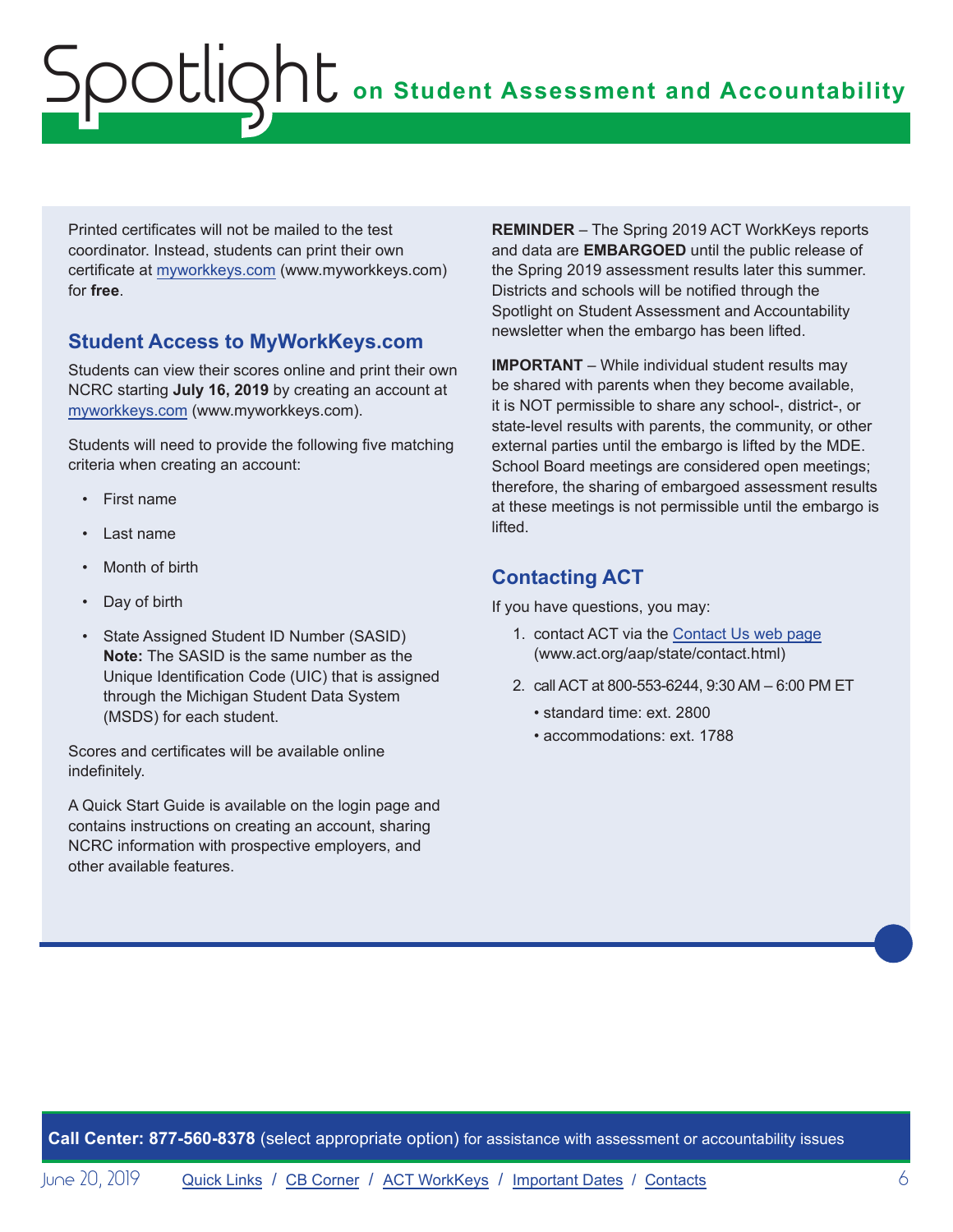## **on Student Assessment and Accountability** Spotlight

Printed certificates will not be mailed to the test coordinator. Instead, students can print their own certificate at [myworkkeys.com](http://www.myworkkeys.com) (www.myworkkeys.com) for **free**.

### **Student Access to MyWorkKeys.com**

Students can view their scores online and print their own NCRC starting **July 16, 2019** by creating an account at [myworkkeys.com](http://www.myworkkeys.com) (www.myworkkeys.com).

Students will need to provide the following five matching criteria when creating an account:

- First name
- Last name
- Month of birth
- Day of birth
- State Assigned Student ID Number (SASID) **Note:** The SASID is the same number as the Unique Identification Code (UIC) that is assigned through the Michigan Student Data System (MSDS) for each student.

Scores and certificates will be available online indefinitely.

A Quick Start Guide is available on the login page and contains instructions on creating an account, sharing NCRC information with prospective employers, and other available features.

**REMINDER** – The Spring 2019 ACT WorkKeys reports and data are **EMBARGOED** until the public release of the Spring 2019 assessment results later this summer. Districts and schools will be notified through the Spotlight on Student Assessment and Accountability newsletter when the embargo has been lifted.

**IMPORTANT** – While individual student results may be shared with parents when they become available, it is NOT permissible to share any school-, district-, or state-level results with parents, the community, or other external parties until the embargo is lifted by the MDE. School Board meetings are considered open meetings; therefore, the sharing of embargoed assessment results at these meetings is not permissible until the embargo is lifted.

## **Contacting ACT**

If you have questions, you may:

- 1. contact ACT via the [Contact Us web page](http://www.act.org/aap/state/contact.html) [\(www.act.org/aap/state/contact.html](www.act.org/aap/state/contact.html))
- 2. call ACT at 800-553-6244, 9:30 AM 6:00 PM ET
	- standard time: ext. 2800
	- accommodations: ext. 1788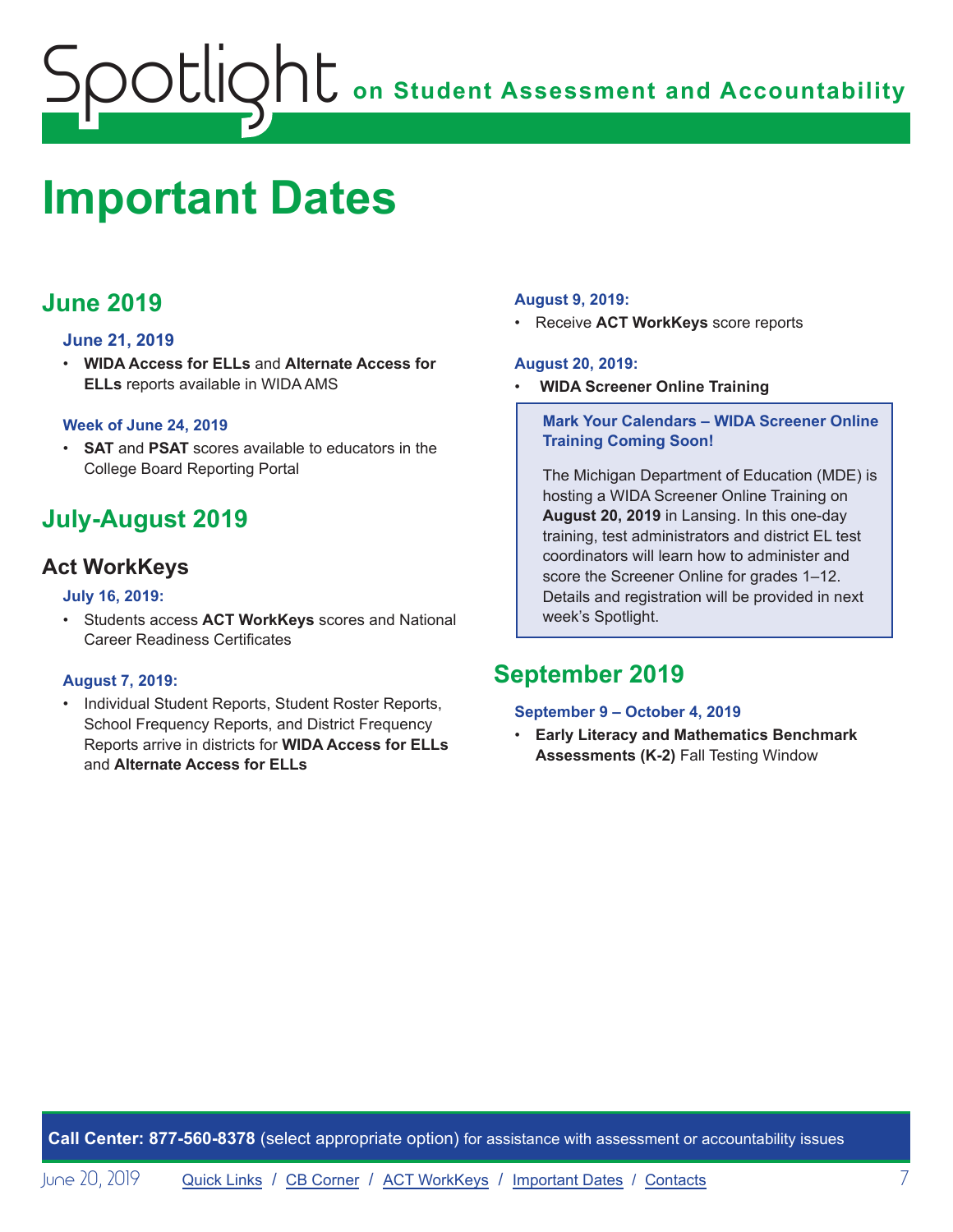## <span id="page-6-0"></span>**ONE** on Student Assessment and Accountability potlic

## <span id="page-6-1"></span>**Important Dates**

## **June 2019**

### **June 21, 2019**

• **WIDA Access for ELLs** and **Alternate Access for ELLs** reports available in WIDA AMS

### **Week of June 24, 2019**

• **SAT** and **PSAT** scores available to educators in the College Board Reporting Portal

## **July-August 2019**

## **Act WorkKeys**

#### **July 16, 2019:**

• Students access **ACT WorkKeys** scores and National Career Readiness Certificates

### **August 7, 2019:**

• Individual Student Reports, Student Roster Reports, School Frequency Reports, and District Frequency Reports arrive in districts for **WIDA Access for ELLs** and **Alternate Access for ELLs**

### **August 9, 2019:**

• Receive **ACT WorkKeys** score reports

#### **August 20, 2019:**

• **WIDA Screener Online Training**

#### **Mark Your Calendars – WIDA Screener Online Training Coming Soon!**

The Michigan Department of Education (MDE) is hosting a WIDA Screener Online Training on **August 20, 2019** in Lansing. In this one-day training, test administrators and district EL test coordinators will learn how to administer and score the Screener Online for grades 1–12. Details and registration will be provided in next week's Spotlight.

## **September 2019**

#### **September 9 – October 4, 2019**

• **Early Literacy and Mathematics Benchmark Assessments (K-2)** Fall Testing Window